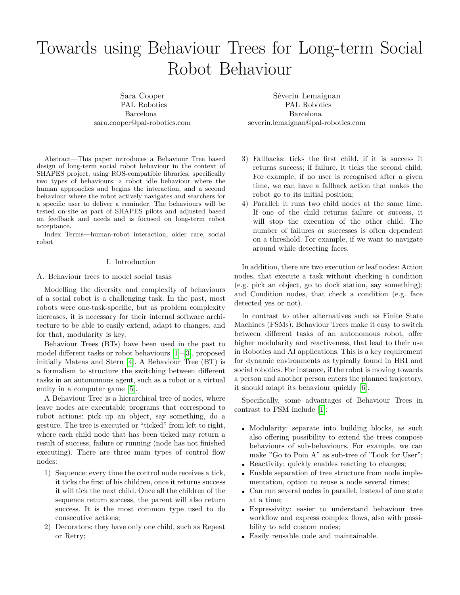# Towards using Behaviour Trees for Long-term Social Robot Behaviour

Sara Cooper PAL Robotics Barcelona sara.cooper@pal-robotics.com

Abstract—This paper introduces a Behaviour Tree based design of long-term social robot behaviour in the context of SHAPES project, using ROS-compatible libraries, specifically two types of behaviours: a robot idle behaviour where the human approaches and begins the interaction, and a second behaviour where the robot actively navigates and searchers for a specific user to deliver a reminder. The behaviours will be tested on-site as part of SHAPES pilots and adjusted based on feedback and needs and is focused on long-term robot acceptance.

Index Terms—human-robot interaction, older care, social robot

# I. Introduction

# A. Behaviour trees to model social tasks

Modelling the diversity and complexity of behaviours of a social robot is a challenging task. In the past, most robots were one-task-specific, but as problem complexity increases, it is necessary for their internal software architecture to be able to easily extend, adapt to changes, and for that, modularity is key.

Behaviour Trees (BTs) have been used in the past to model different tasks or robot behaviours [\[1\]](#page-4-0)–[\[3\]](#page-4-1), proposed initially Mateas and Stern [\[4\]](#page-4-2). A Behaviour Tree (BT) is a formalism to structure the switching between different tasks in an autonomous agent, such as a robot or a virtual entity in a computer game [\[5\]](#page-4-3).

A Behaviour Tree is a hierarchical tree of nodes, where leave nodes are executable programs that correspond to robot actions: pick up an object, say something, do a gesture. The tree is executed or "ticked" from left to right, where each child node that has been ticked may return a result of success, failure or running (node has not finished executing). There are three main types of control flow nodes:

- 1) Sequence: every time the control node receives a tick, it ticks the first of his children, once it returns success it will tick the next child. Once all the children of the sequence return success, the parent will also return success. It is the most common type used to do consecutive actions;
- 2) Decorators: they have only one child, such as Repeat or Retry;

Séverin Lemaignan PAL Robotics Barcelona severin.lemaignan@pal-robotics.com

- 3) Fallbacks: ticks the first child, if it is success it returns success; if failure, it ticks the second child. For example, if no user is recognised after a given time, we can have a fallback action that makes the robot go to its initial position;
- 4) Parallel: it runs two child nodes at the same time. If one of the child returns failure or success, it will stop the execution of the other child. The number of failures or successes is often dependent on a threshold. For example, if we want to navigate around while detecting faces.

In addition, there are two execution or leaf nodes: Action nodes, that execute a task without checking a condition (e.g. pick an object, go to dock station, say something); and Condition nodes, that check a condition (e.g. face detected yes or not).

In contrast to other alternatives such as Finite State Machines (FSMs), Behaviour Trees make it easy to switch between different tasks of an autonomous robot, offer higher modularity and reactiveness, that lead to their use in Robotics and AI applications. This is a key requirement for dynamic environments as typically found in HRI and social robotics. For instance, if the robot is moving towards a person and another person enters the planned trajectory, it should adapt its behaviour quickly [\[6\]](#page-4-4).

Specifically, some advantages of Behaviour Trees in contrast to FSM include [\[1\]](#page-4-0):

- Modularity: separate into building blocks, as such also offering possibility to extend the trees compose behaviours of sub-behaviours. For example, we can make "Go to Poin A" as sub-tree of "Look for User";
- Reactivity: quickly enables reacting to changes;
- Enable separation of tree structure from node implementation, option to reuse a node several times;
- Can run several nodes in parallel, instead of one state at a time;
- Expressivity: easier to understand behaviour tree workflow and express complex flows, also with possibility to add custom nodes;
- Easily reusable code and maintainable.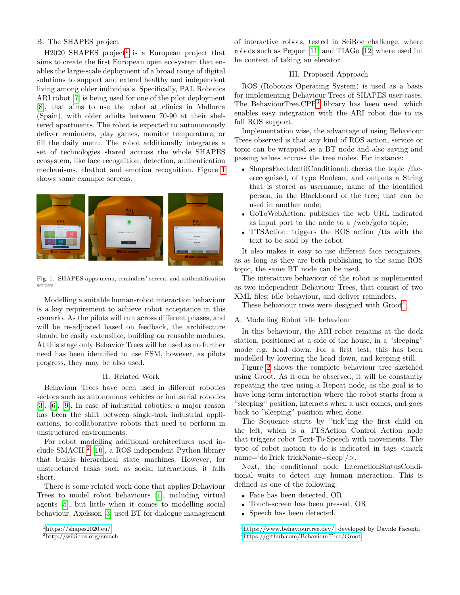# B. The SHAPES project

 $H2020$  SHAPES project<sup>[1](#page-1-0)</sup> is a European project that aims to create the first European open ecosystem that enables the large-scale deployment of a broad range of digital solutions to support and extend healthy and independent living among older individuals. Specifically, PAL Robotics ARI robot [\[7\]](#page-4-5) is being used for one of the pilot deployment [\[8\]](#page-4-6), that aims to use the robot at clinics in Mallorca (Spain), with older adults between 70-90 at their sheltered apartments. The robot is expected to autonomously deliver reminders, play games, monitor temperature, or fill the daily menu. The robot additionally integrates a set of technologies shared accross the whole SHAPES ecosystem, like face recognition, detection, authentication mechanisms, chatbot and emotion recognition. Figure [1](#page-1-1) shows some example screens.



<span id="page-1-1"></span>Fig. 1. SHAPES apps menu, reminders' screen, and authentification screen

Modelling a suitable human-robot interaction behaviour is a key requirement to achieve robot acceptance in this scenario. As the pilots will run across different phases, and will be re-adjusted based on feedback, the architecture should be easily extensible, building on reusable modules. At this stage only Behavior Trees will be used as no further need has been identified to use FSM, however, as pilots progress, they may be also used.

#### II. Related Work

Behaviour Trees have been used in different robotics sectors such as autonomous vehicles or industrial robotics [\[3\]](#page-4-1), [\[6\]](#page-4-4), [\[9\]](#page-4-7). In case of industrial robotics, a major reason has been the shift between single-task industrial applications, to collaborative robots that need to perform in unstructured environments.

For robot modelling additional architectures used include SMACH [2](#page-1-2) [\[10\]](#page-4-8), a ROS independent Python library that builds hierarchical state machines. However, for unstructured tasks such as social interactions, it falls short.

There is some related work done that applies Behaviour Trees to model robot behaviours [\[1\]](#page-4-0), including virtual agents [\[5\]](#page-4-3), but little when it comes to modelling social behaviour. Axelsson [\[3\]](#page-4-1) used BT for dialogue management

<span id="page-1-0"></span><sup>1</sup><https://shapes2020.eu/>

of interactive robots, tested in SciRoc challenge, where robots such as Pepper [\[11\]](#page-4-9) and TIAGo [\[12\]](#page-4-10) where used int he context of taking an elevator.

# III. Proposed Approach

ROS (Robotics Operating System) is used as a basis for implementing Behaviour Trees of SHAPES user-cases. The BehaviourTree.CPP<sup>[3](#page-1-3)</sup> library has been used, which enables easy integration with the ARI robot due to its full ROS support.

Implementation wise, the advantage of using Behaviour Trees observed is that any kind of ROS action, service or topic can be wrapped as a BT node and also saving and passing values accross the tree nodes. For instance:

- ShapesFaceIdentifConditional: checks the topic /facerecognised, of type Boolean, and outputs a String that is stored as username, name of the identified person, in the Blackboard of the tree; that can be used in another node;
- GoToWebAction: publishes the web URL indicated as input port to the node to a /web/goto topic;
- TTSAction: triggers the ROS action /tts with the text to be said by the robot

It also makes it easy to use different face recognizers, as as long as they are both publishing to the same ROS topic, the same BT node can be used.

The interactive behaviour of the robot is implemented as two independent Behaviour Trees, that consist of two XML files: idle behaviour, and deliver reminders.

These behaviour trees were designed with  $Groot<sup>4</sup>$  $Groot<sup>4</sup>$  $Groot<sup>4</sup>$ .

# A. Modelling Robot idle behaviour

In this behaviour, the ARI robot remains at the dock station, positioned at a side of the house, in a "sleeping" mode e.g. head down. For a first test, this has been modelled by lowering the head down, and keeping still.

Figure [2](#page-2-0) shows the complete behaviour tree sketched using Groot. As it can be observed, it will be constantly repeating the tree using a Repeat node, as the goal is to have long-term interaction where the robot starts from a "sleeping" position, interacts when a user comes, and goes back to "sleeping" position when done.

The Sequence starts by "tick"ing the first child on the left, which is a TTSAction Control Action node that triggers robot Text-To-Speech with movements. The type of robot motion to do is indicated in tags  $\leq$  mark name='doTrick trickName=sleep'/>.

Next, the conditional node InteractionStatusConditional waits to detect any human interaction. This is defined as one of the following:

- Face has been detected, OR
- Touch-screen has been pressed, OR
- Speech has been detected.

<span id="page-1-4"></span><span id="page-1-3"></span><sup>3</sup>[https://www.behaviourtree.dev/,](https://www.behaviourtree.dev/) developed by Davide Faconti. <sup>4</sup><https://github.com/BehaviourTree/Groot>

<span id="page-1-2"></span><sup>2</sup>http://wiki.ros.org/smach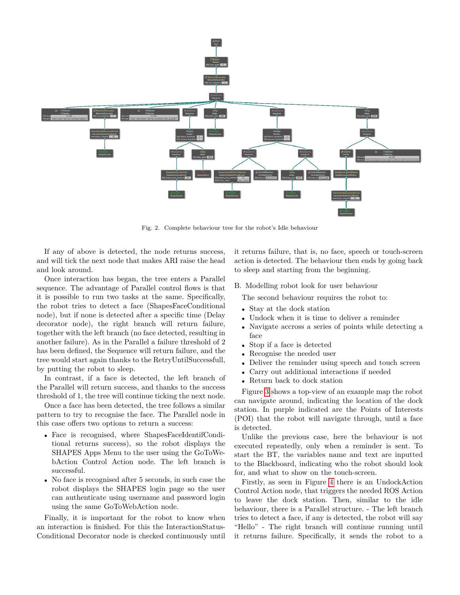

<span id="page-2-0"></span>Fig. 2. Complete behaviour tree for the robot's Idle behaviour

If any of above is detected, the node returns success, and will tick the next node that makes ARI raise the head and look around.

Once interaction has began, the tree enters a Parallel sequence. The advantage of Parallel control flows is that it is possible to run two tasks at the same. Specifically, the robot tries to detect a face (ShapesFaceConditional node), but if none is detected after a specific time (Delay decorator node), the right branch will return failure, together with the left branch (no face detected, resulting in another failure). As in the Parallel a failure threshold of 2 has been defined, the Sequence will return failure, and the tree would start again thanks to the RetryUntilSuccessfull, by putting the robot to sleep.

In contrast, if a face is detected, the left branch of the Parallel will return success, and thanks to the success threshold of 1, the tree will continue ticking the next node.

Once a face has been detected, the tree follows a similar pattern to try to recognise the face. The Parallel node in this case offers two options to return a success:

- Face is recognised, where ShapesFaceIdentifConditional returns success), so the robot displays the SHAPES Apps Menu to the user using the GoToWebAction Control Action node. The left branch is successful.
- No face is recognised after 5 seconds, in such case the robot displays the SHAPES login page so the user can authenticate using username and password login using the same GoToWebAction node.

Finally, it is important for the robot to know when an interaction is finished. For this the InteractionStatus-Conditional Decorator node is checked continuously until it returns failure, that is, no face, speech or touch-screen action is detected. The behaviour then ends by going back to sleep and starting from the beginning.

B. Modelling robot look for user behaviour

The second behaviour requires the robot to:

- Stay at the dock station
- Undock when it is time to deliver a reminder
- Navigate accross a series of points while detecting a face
- Stop if a face is detected
- Recognise the needed user
- Deliver the reminder using speech and touch screen
- Carry out additional interactions if needed
- Return back to dock station

Figure [3](#page-3-0) shows a top-view of an example map the robot can navigate around, indicating the location of the dock station. In purple indicated are the Points of Interests (POI) that the robot will navigate through, until a face is detected.

Unlike the previous case, here the behaviour is not executed repeatedly, only when a reminder is sent. To start the BT, the variables name and text are inputted to the Blackboard, indicating who the robot should look for, and what to show on the touch-screen.

Firstly, as seen in Figure [4](#page-3-1) there is an UndockAction Control Action node, that triggers the needed ROS Action to leave the dock station. Then, similar to the idle behaviour, there is a Parallel structure. - The left branch tries to detect a face, if any is detected, the robot will say "Hello" - The right branch will continue running until it returns failure. Specifically, it sends the robot to a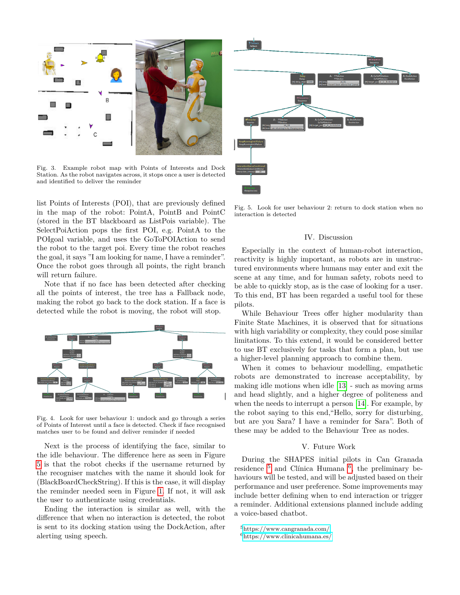

<span id="page-3-0"></span>Fig. 3. Example robot map with Points of Interests and Dock Station. As the robot navigates across, it stops once a user is detected and identified to deliver the reminder

list Points of Interests (POI), that are previously defined in the map of the robot: PointA, PointB and PointC (stored in the BT blackboard as ListPois variable). The SelectPoiAction pops the first POI, e.g. PointA to the POIgoal variable, and uses the GoToPOIAction to send the robot to the target poi. Every time the robot reaches the goal, it says "I am looking for name, I have a reminder". Once the robot goes through all points, the right branch will return failure.

Note that if no face has been detected after checking all the points of interest, the tree has a Fallback node, making the robot go back to the dock station. If a face is detected while the robot is moving, the robot will stop.



<span id="page-3-1"></span>Fig. 4. Look for user behaviour 1: undock and go through a series of Points of Interest until a face is detected. Check if face recognised matches user to be found and deliver reminder if needed

Next is the process of identifying the face, similar to the idle behaviour. The difference here as seen in Figure [5](#page-3-2) is that the robot checks if the username returned by the recogniser matches with the name it should look for (BlackBoardCheckString). If this is the case, it will display the reminder needed seen in Figure [1.](#page-1-1) If not, it will ask the user to authenticate using credentials.

Ending the interaction is similar as well, with the difference that when no interaction is detected, the robot is sent to its docking station using the DockAction, after alerting using speech.



<span id="page-3-2"></span>Fig. 5. Look for user behaviour 2: return to dock station when no interaction is detected

#### IV. Discussion

Especially in the context of human-robot interaction, reactivity is highly important, as robots are in unstructured environments where humans may enter and exit the scene at any time, and for human safety, robots need to be able to quickly stop, as is the case of looking for a user. To this end, BT has been regarded a useful tool for these pilots.

While Behaviour Trees offer higher modularity than Finite State Machines, it is observed that for situations with high variability or complexity, they could pose similar limitations. To this extend, it would be considered better to use BT exclusively for tasks that form a plan, but use a higher-level planning approach to combine them.

When it comes to behaviour modelling, empathetic robots are demonstrated to increase acceptability, by making idle motions when idle [\[13\]](#page-4-11) - such as moving arms and head slightly, and a higher degree of politeness and when the needs to interrupt a person [\[14\]](#page-4-12). For example, by the robot saying to this end,"Hello, sorry for disturbing, but are you Sara? I have a reminder for Sara". Both of these may be added to the Behaviour Tree as nodes.

### V. Future Work

During the SHAPES initial pilots in Can Granada residence  $5$  and Clínica Humana  $6$ , the preliminary behaviours will be tested, and will be adjusted based on their performance and user preference. Some improvements may include better defining when to end interaction or trigger a reminder. Additional extensions planned include adding a voice-based chatbot.

<span id="page-3-3"></span><sup>5</sup><https://www.cangranada.com/>

<span id="page-3-4"></span> $6$ <https://www.clinicahumana.es/>